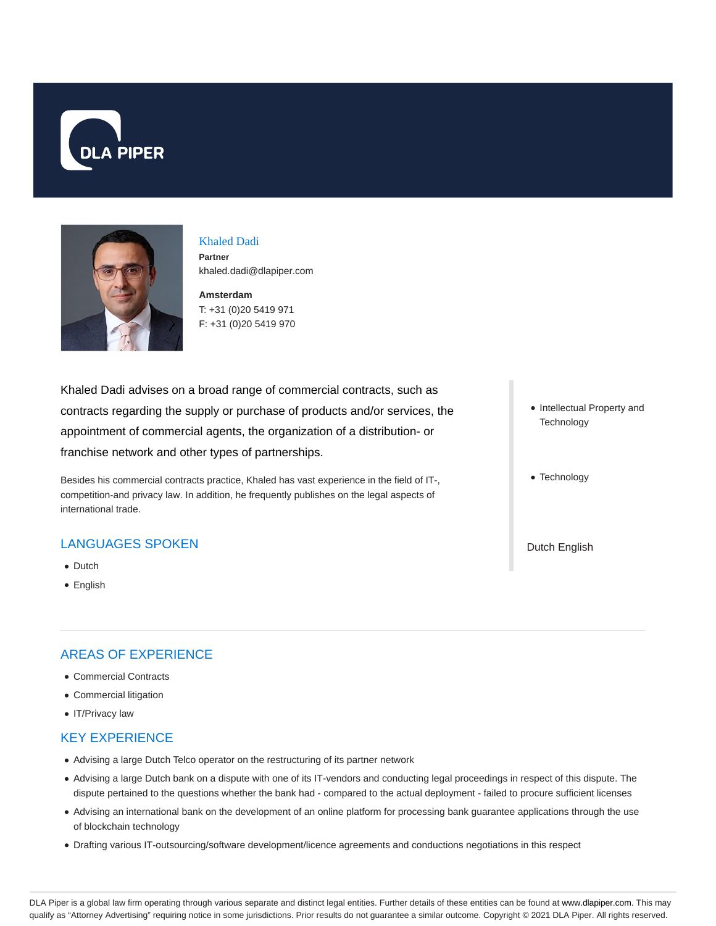



# Khaled Dadi **Partner**

**Amsterdam** khaled.dadi@dlapiper.com

T: +31 (0)20 5419 971 F: +31 (0)20 5419 970

Khaled Dadi advises on a broad range of commercial contracts, such as contracts regarding the supply or purchase of products and/or services, the appointment of commercial agents, the organization of a distribution- or franchise network and other types of partnerships.

Besides his commercial contracts practice, Khaled has vast experience in the field of IT-, competition-and privacy law. In addition, he frequently publishes on the legal aspects of international trade.

# LANGUAGES SPOKEN

- Dutch
- English

# AREAS OF EXPERIENCE

- Commercial Contracts
- Commercial litigation
- IT/Privacy law

# KEY EXPERIENCE

- Advising a large Dutch Telco operator on the restructuring of its partner network
- Advising a large Dutch bank on a dispute with one of its IT-vendors and conducting legal proceedings in respect of this dispute. The dispute pertained to the questions whether the bank had - compared to the actual deployment - failed to procure sufficient licenses
- Advising an international bank on the development of an online platform for processing bank guarantee applications through the use of blockchain technology
- Drafting various IT-outsourcing/software development/licence agreements and conductions negotiations in this respect
- Intellectual Property and **Technology**
- Technology
- Dutch English

DLA Piper is a global law firm operating through various separate and distinct legal entities. Further details of these entities can be found at www.dlapiper.com. This may qualify as "Attorney Advertising" requiring notice in some jurisdictions. Prior results do not guarantee a similar outcome. Copyright @ 2021 DLA Piper. All rights reserved.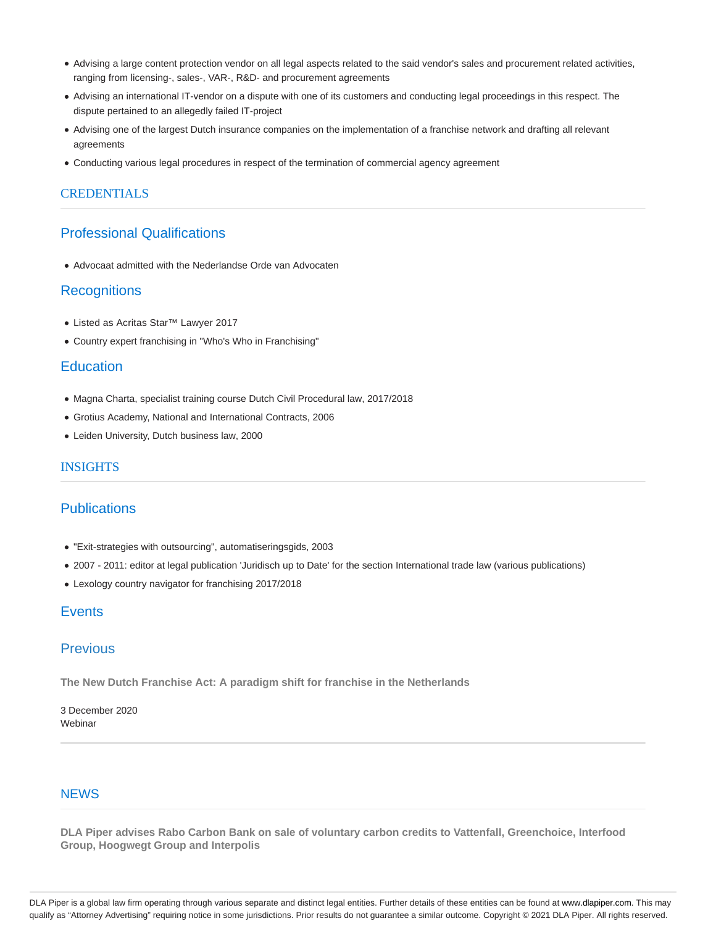- Advising a large content protection vendor on all legal aspects related to the said vendor's sales and procurement related activities, ranging from licensing-, sales-, VAR-, R&D- and procurement agreements
- Advising an international IT-vendor on a dispute with one of its customers and conducting legal proceedings in this respect. The dispute pertained to an allegedly failed IT-project
- Advising one of the largest Dutch insurance companies on the implementation of a franchise network and drafting all relevant agreements
- Conducting various legal procedures in respect of the termination of commercial agency agreement

### **CREDENTIALS**

# Professional Qualifications

Advocaat admitted with the Nederlandse Orde van Advocaten

#### **Recognitions**

- Listed as Acritas Star™ Lawyer 2017
- Country expert franchising in "Who's Who in Franchising"

#### **Education**

- Magna Charta, specialist training course Dutch Civil Procedural law, 2017/2018
- Grotius Academy, National and International Contracts, 2006
- Leiden University, Dutch business law, 2000

## **INSIGHTS**

# **Publications**

- "Exit-strategies with outsourcing", automatiseringsgids, 2003
- 2007 2011: editor at legal publication 'Juridisch up to Date' for the section International trade law (various publications)
- Lexology country navigator for franchising 2017/2018

# **Events**

# Previous

**The New Dutch Franchise Act: A paradigm shift for franchise in the Netherlands**

3 December 2020 Webinar

# **NEWS**

**DLA Piper advises Rabo Carbon Bank on sale of voluntary carbon credits to Vattenfall, Greenchoice, Interfood Group, Hoogwegt Group and Interpolis**

DLA Piper is a global law firm operating through various separate and distinct legal entities. Further details of these entities can be found at www.dlapiper.com. This may qualify as "Attorney Advertising" requiring notice in some jurisdictions. Prior results do not guarantee a similar outcome. Copyright © 2021 DLA Piper. All rights reserved.